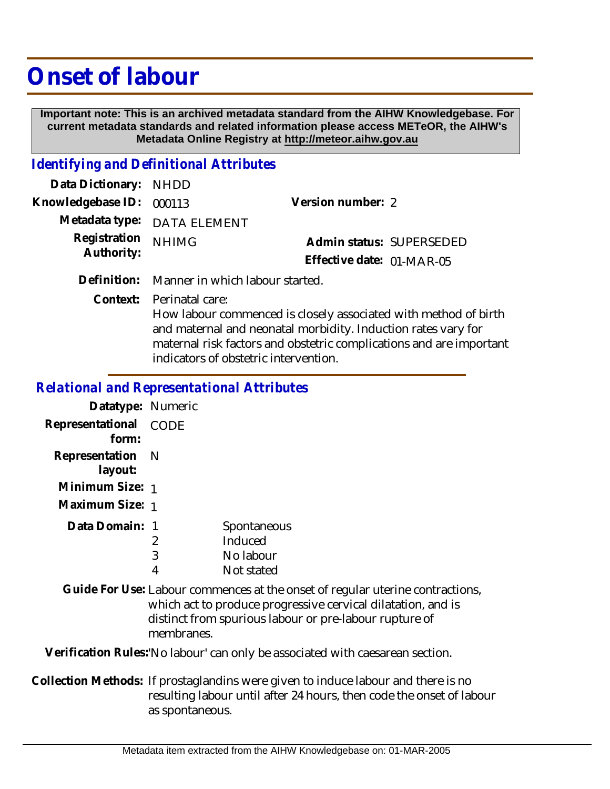## **Onset of labour**

 **Important note: This is an archived metadata standard from the AIHW Knowledgebase. For current metadata standards and related information please access METeOR, the AIHW's Metadata Online Registry at http://meteor.aihw.gov.au**

## *Identifying and Definitional Attributes*

| Data Dictionary: NHDD    |                             |                           |  |
|--------------------------|-----------------------------|---------------------------|--|
| Knowledgebase ID: 000113 |                             | Version number: 2         |  |
|                          | Metadata type: DATA ELEMENT |                           |  |
| Registration NHIMG       |                             | Admin status: SUPERSEDED  |  |
| Authority:               |                             | Effective date: 01-MAR-05 |  |
|                          |                             |                           |  |

**Definition:** Manner in which labour started.

Context: Perinatal care:

How labour commenced is closely associated with method of birth and maternal and neonatal morbidity. Induction rates vary for maternal risk factors and obstetric complications and are important indicators of obstetric intervention.

## *Relational and Representational Attributes*

| Datatype: Numeric |      |             |
|-------------------|------|-------------|
| Representational  | CODE |             |
| form:             |      |             |
| Representation N  |      |             |
| layout:           |      |             |
| Minimum Size: 1   |      |             |
| Maximum Size: 1   |      |             |
| Data Domain: 1    |      | Spontaneous |
|                   | 2    | Induced     |
|                   | 3    | No labour   |
|                   |      | Not stated  |

Guide For Use: Labour commences at the onset of regular uterine contractions, which act to produce progressive cervical dilatation, and is distinct from spurious labour or pre-labour rupture of membranes.

**Verification Rules:**'No labour' can only be associated with caesarean section.

Collection Methods: If prostaglandins were given to induce labour and there is no resulting labour until after 24 hours, then code the onset of labour as spontaneous.